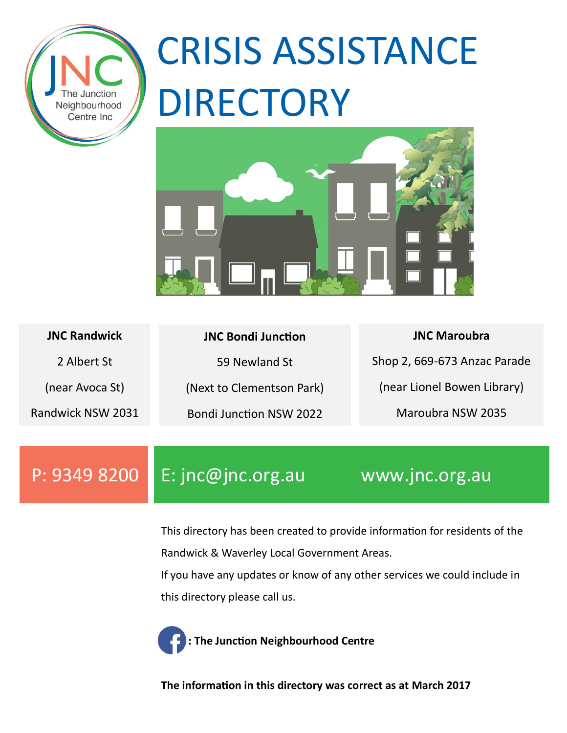

# CRISIS ASSISTANCE DIRECTORY



| <b>JNC Randwick</b> | <b>JNC Bondi Junction</b>      | <b>JNC Maroubra</b>          |
|---------------------|--------------------------------|------------------------------|
| 2 Albert St         | 59 Newland St                  | Shop 2, 669-673 Anzac Parade |
| (near Avoca St)     | (Next to Clementson Park)      | (near Lionel Bowen Library)  |
| Randwick NSW 2031   | <b>Bondi Junction NSW 2022</b> | Maroubra NSW 2035            |

P: 9349 8200 E: jnc@jnc.org.au www.jnc.org.au

This directory has been created to provide information for residents of the Randwick & Waverley Local Government Areas.

If you have any updates or know of any other services we could include in this directory please call us.



**: The Junction Neighbourhood Centre**

**The information in this directory was correct as at March 2017**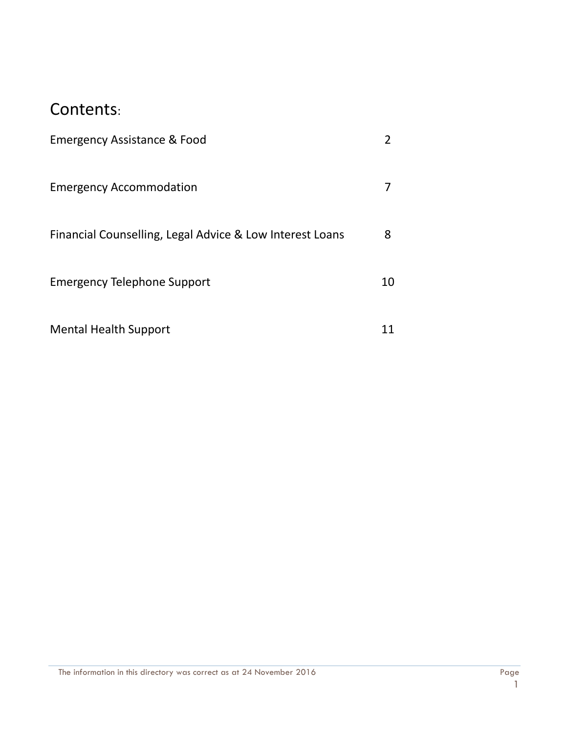#### Contents:

| Emergency Assistance & Food                              |    |
|----------------------------------------------------------|----|
| <b>Emergency Accommodation</b>                           |    |
| Financial Counselling, Legal Advice & Low Interest Loans | 8  |
| Emergency Telephone Support                              | 10 |
| <b>Mental Health Support</b>                             |    |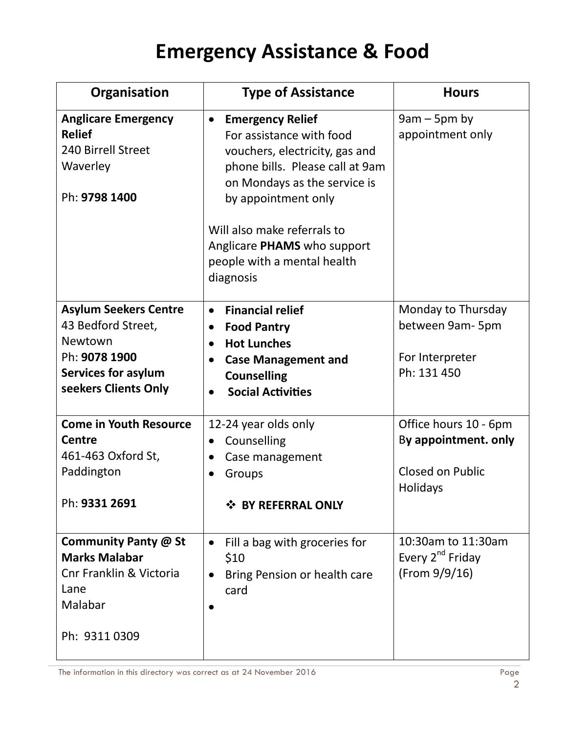| Organisation                                                                                                                         | <b>Type of Assistance</b>                                                                                                                                                                                                                                                                              | <b>Hours</b>                                                                         |
|--------------------------------------------------------------------------------------------------------------------------------------|--------------------------------------------------------------------------------------------------------------------------------------------------------------------------------------------------------------------------------------------------------------------------------------------------------|--------------------------------------------------------------------------------------|
| <b>Anglicare Emergency</b><br><b>Relief</b><br>240 Birrell Street<br>Waverley<br>Ph: 9798 1400                                       | <b>Emergency Relief</b><br>$\bullet$<br>For assistance with food<br>vouchers, electricity, gas and<br>phone bills. Please call at 9am<br>on Mondays as the service is<br>by appointment only<br>Will also make referrals to<br>Anglicare PHAMS who support<br>people with a mental health<br>diagnosis | $9am - 5pm$ by<br>appointment only                                                   |
| <b>Asylum Seekers Centre</b><br>43 Bedford Street,<br>Newtown<br>Ph: 9078 1900<br><b>Services for asylum</b><br>seekers Clients Only | <b>Financial relief</b><br>$\bullet$<br><b>Food Pantry</b><br>$\bullet$<br><b>Hot Lunches</b><br>$\bullet$<br><b>Case Management and</b><br>$\bullet$<br><b>Counselling</b><br><b>Social Activities</b><br>$\bullet$                                                                                   | Monday to Thursday<br>between 9am-5pm<br>For Interpreter<br>Ph: 131 450              |
| <b>Come in Youth Resource</b><br><b>Centre</b><br>461-463 Oxford St,<br>Paddington<br>Ph: 9331 2691                                  | 12-24 year olds only<br>Counselling<br>$\bullet$<br>Case management<br>Groups<br>❖ BY REFERRAL ONLY                                                                                                                                                                                                    | Office hours 10 - 6pm<br>By appointment. only<br><b>Closed on Public</b><br>Holidays |
| Community Panty @ St<br><b>Marks Malabar</b><br>Cnr Franklin & Victoria<br>Lane<br>Malabar<br>Ph: 9311 0309                          | Fill a bag with groceries for<br>$\bullet$<br>\$10<br>Bring Pension or health care<br>$\bullet$<br>card                                                                                                                                                                                                | 10:30am to 11:30am<br>Every 2 <sup>nd</sup> Friday<br>(From 9/9/16)                  |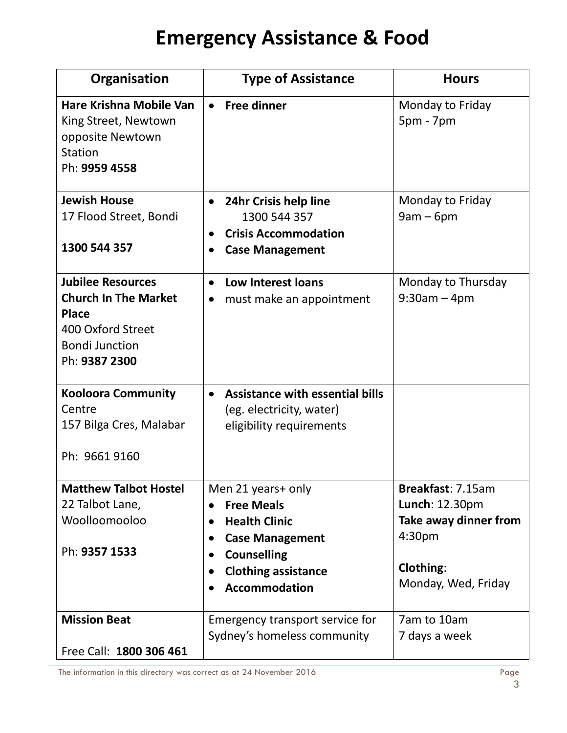| Organisation                                                                                           | <b>Type of Assistance</b>                                   | <b>Hours</b>                                |
|--------------------------------------------------------------------------------------------------------|-------------------------------------------------------------|---------------------------------------------|
| Hare Krishna Mobile Van<br>King Street, Newtown<br>opposite Newtown<br><b>Station</b><br>Ph: 9959 4558 | <b>Free dinner</b><br>$\bullet$                             | Monday to Friday<br>$5pm - 7pm$             |
| <b>Jewish House</b>                                                                                    | 24hr Crisis help line<br>$\bullet$                          | Monday to Friday                            |
| 17 Flood Street, Bondi                                                                                 | 1300 544 357<br><b>Crisis Accommodation</b>                 | $9am - 6pm$                                 |
| 1300 544 357                                                                                           | <b>Case Management</b>                                      |                                             |
| <b>Jubilee Resources</b>                                                                               | <b>Low Interest loans</b>                                   | Monday to Thursday                          |
| <b>Church In The Market</b><br><b>Place</b>                                                            | must make an appointment                                    | $9:30am - 4pm$                              |
| 400 Oxford Street                                                                                      |                                                             |                                             |
| <b>Bondi Junction</b><br>Ph: 9387 2300                                                                 |                                                             |                                             |
| <b>Kooloora Community</b>                                                                              | Assistance with essential bills                             |                                             |
| Centre                                                                                                 | (eg. electricity, water)                                    |                                             |
| 157 Bilga Cres, Malabar                                                                                | eligibility requirements                                    |                                             |
| Ph: 9661 9160                                                                                          |                                                             |                                             |
| <b>Matthew Talbot Hostel</b>                                                                           | Men 21 years+ only                                          | Breakfast: 7.15am                           |
| 22 Talbot Lane,<br>Woolloomooloo                                                                       | <b>Free Meals</b>                                           | Lunch: 12.30pm                              |
|                                                                                                        | <b>Health Clinic</b><br><b>Case Management</b><br>$\bullet$ | Take away dinner from<br>4:30 <sub>pm</sub> |
| Ph: 9357 1533                                                                                          | <b>Counselling</b>                                          |                                             |
|                                                                                                        | <b>Clothing assistance</b>                                  | Clothing:                                   |
|                                                                                                        | <b>Accommodation</b>                                        | Monday, Wed, Friday                         |
| <b>Mission Beat</b>                                                                                    | Emergency transport service for                             | 7am to 10am                                 |
| Free Call: 1800 306 461                                                                                | Sydney's homeless community                                 | 7 days a week                               |
|                                                                                                        |                                                             |                                             |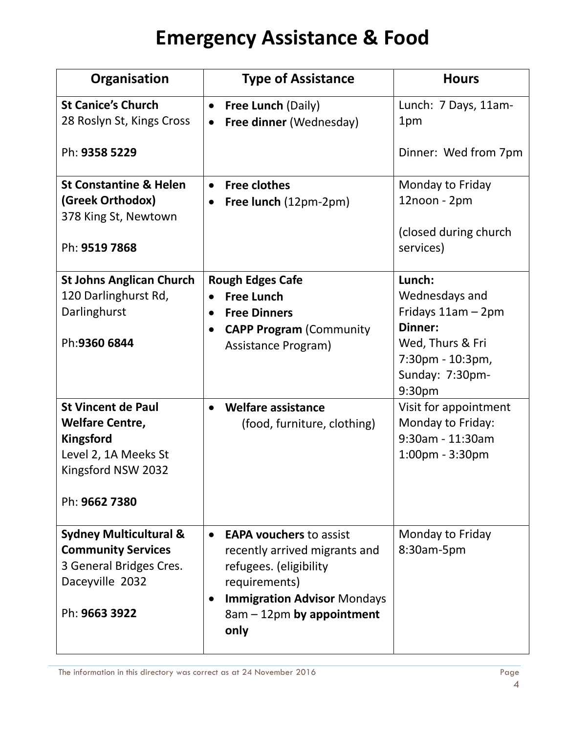| Organisation                                                                                                                  | <b>Type of Assistance</b>                                                                                                                                                                          | <b>Hours</b>                                                                                                                                                        |
|-------------------------------------------------------------------------------------------------------------------------------|----------------------------------------------------------------------------------------------------------------------------------------------------------------------------------------------------|---------------------------------------------------------------------------------------------------------------------------------------------------------------------|
| <b>St Canice's Church</b><br>28 Roslyn St, Kings Cross<br>Ph: 9358 5229                                                       | <b>Free Lunch (Daily)</b><br>$\bullet$<br>Free dinner (Wednesday)<br>$\bullet$                                                                                                                     | Lunch: 7 Days, 11am-<br>1pm<br>Dinner: Wed from 7pm                                                                                                                 |
| <b>St Constantine &amp; Helen</b><br>(Greek Orthodox)<br>378 King St, Newtown<br>Ph: 9519 7868                                | <b>Free clothes</b><br>Free lunch (12pm-2pm)                                                                                                                                                       | Monday to Friday<br>12noon - 2pm<br>(closed during church<br>services)                                                                                              |
| <b>St Johns Anglican Church</b><br>120 Darlinghurst Rd,<br>Darlinghurst<br>Ph:9360 6844<br><b>St Vincent de Paul</b>          | <b>Rough Edges Cafe</b><br><b>Free Lunch</b><br><b>Free Dinners</b><br>$\bullet$<br><b>CAPP Program (Community</b><br>Assistance Program)<br><b>Welfare assistance</b>                             | Lunch:<br>Wednesdays and<br>Fridays 11am - 2pm<br>Dinner:<br>Wed, Thurs & Fri<br>7:30pm - 10:3pm,<br>Sunday: 7:30pm-<br>9:30 <sub>pm</sub><br>Visit for appointment |
| <b>Welfare Centre,</b><br><b>Kingsford</b><br>Level 2, 1A Meeks St<br>Kingsford NSW 2032<br>Ph: 9662 7380                     | (food, furniture, clothing)                                                                                                                                                                        | Monday to Friday:<br>9:30am - 11:30am<br>$1:00$ pm - $3:30$ pm                                                                                                      |
| <b>Sydney Multicultural &amp;</b><br><b>Community Services</b><br>3 General Bridges Cres.<br>Daceyville 2032<br>Ph: 9663 3922 | <b>EAPA vouchers to assist</b><br>recently arrived migrants and<br>refugees. (eligibility<br>requirements)<br><b>Immigration Advisor Mondays</b><br>$\bullet$<br>8am - 12pm by appointment<br>only | Monday to Friday<br>8:30am-5pm                                                                                                                                      |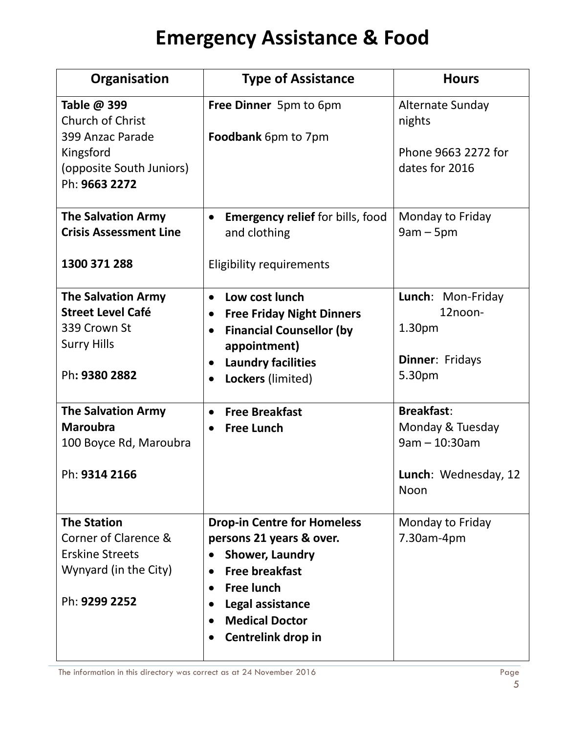| Organisation                                                                                                   | <b>Type of Assistance</b>                                                                                                                                                                                                                        | <b>Hours</b>                                                                             |
|----------------------------------------------------------------------------------------------------------------|--------------------------------------------------------------------------------------------------------------------------------------------------------------------------------------------------------------------------------------------------|------------------------------------------------------------------------------------------|
| Table @ 399<br>Church of Christ<br>399 Anzac Parade<br>Kingsford<br>(opposite South Juniors)<br>Ph: 9663 2272  | Free Dinner 5pm to 6pm<br>Foodbank 6pm to 7pm                                                                                                                                                                                                    | Alternate Sunday<br>nights<br>Phone 9663 2272 for<br>dates for 2016                      |
| <b>The Salvation Army</b><br><b>Crisis Assessment Line</b><br>1300 371 288                                     | <b>Emergency relief for bills, food</b><br>$\bullet$<br>and clothing<br><b>Eligibility requirements</b>                                                                                                                                          | Monday to Friday<br>$9am - 5pm$                                                          |
| <b>The Salvation Army</b><br><b>Street Level Café</b><br>339 Crown St<br><b>Surry Hills</b><br>Ph: 9380 2882   | Low cost lunch<br>$\bullet$<br><b>Free Friday Night Dinners</b><br>$\bullet$<br><b>Financial Counsellor (by</b><br>$\bullet$<br>appointment)<br><b>Laundry facilities</b><br>Lockers (limited)                                                   | Lunch: Mon-Friday<br>12noon-<br>1.30 <sub>pm</sub><br>Dinner: Fridays<br>5.30pm          |
| <b>The Salvation Army</b><br><b>Maroubra</b><br>100 Boyce Rd, Maroubra<br>Ph: 9314 2166                        | <b>Free Breakfast</b><br>$\bullet$<br><b>Free Lunch</b><br>$\bullet$                                                                                                                                                                             | <b>Breakfast:</b><br>Monday & Tuesday<br>$9am - 10:30am$<br>Lunch: Wednesday, 12<br>Noon |
| <b>The Station</b><br>Corner of Clarence &<br><b>Erskine Streets</b><br>Wynyard (in the City)<br>Ph: 9299 2252 | <b>Drop-in Centre for Homeless</b><br>persons 21 years & over.<br><b>Shower, Laundry</b><br><b>Free breakfast</b><br><b>Free lunch</b><br>$\bullet$<br>Legal assistance<br><b>Medical Doctor</b><br>$\bullet$<br>Centrelink drop in<br>$\bullet$ | Monday to Friday<br>7.30am-4pm                                                           |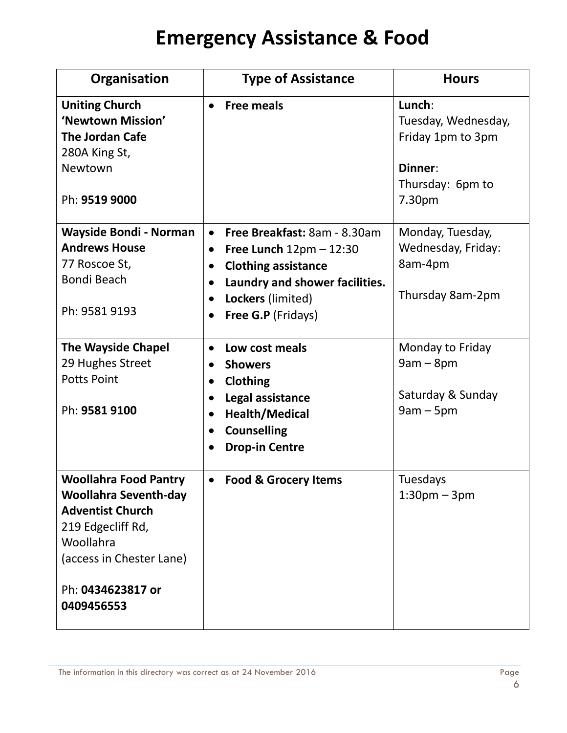| Organisation                                                 | <b>Type of Assistance</b>                      | <b>Hours</b>               |
|--------------------------------------------------------------|------------------------------------------------|----------------------------|
| <b>Uniting Church</b>                                        | <b>Free meals</b>                              | Lunch:                     |
| 'Newtown Mission'                                            |                                                | Tuesday, Wednesday,        |
| <b>The Jordan Cafe</b>                                       |                                                | Friday 1pm to 3pm          |
| 280A King St,<br>Newtown                                     |                                                | Dinner:                    |
|                                                              |                                                | Thursday: 6pm to           |
| Ph: 9519 9000                                                |                                                | 7.30pm                     |
|                                                              |                                                |                            |
| <b>Wayside Bondi - Norman</b>                                | Free Breakfast: 8am - 8.30am<br>$\bullet$      | Monday, Tuesday,           |
| <b>Andrews House</b>                                         | Free Lunch $12 \text{pm} - 12:30$<br>$\bullet$ | Wednesday, Friday:         |
| 77 Roscoe St,                                                | <b>Clothing assistance</b><br>$\bullet$        | 8am-4pm                    |
| <b>Bondi Beach</b>                                           | Laundry and shower facilities.                 |                            |
|                                                              | Lockers (limited)                              | Thursday 8am-2pm           |
| Ph: 9581 9193                                                | <b>Free G.P</b> (Fridays)                      |                            |
|                                                              |                                                |                            |
| <b>The Wayside Chapel</b>                                    | Low cost meals<br>$\bullet$                    | Monday to Friday           |
| 29 Hughes Street                                             | <b>Showers</b><br>$\bullet$                    | $9am - 8pm$                |
| <b>Potts Point</b>                                           | <b>Clothing</b><br>$\bullet$                   |                            |
|                                                              | Legal assistance                               | Saturday & Sunday          |
| Ph: 9581 9100                                                | Health/Medical<br>$\bullet$                    | $9am - 5pm$                |
|                                                              | <b>Counselling</b><br>$\bullet$                |                            |
|                                                              | <b>Drop-in Centre</b>                          |                            |
|                                                              |                                                |                            |
| <b>Woollahra Food Pantry</b><br><b>Woollahra Seventh-day</b> | <b>Food &amp; Grocery Items</b><br>$\bullet$   | Tuesdays<br>$1:30pm - 3pm$ |
| <b>Adventist Church</b>                                      |                                                |                            |
| 219 Edgecliff Rd,                                            |                                                |                            |
| Woollahra                                                    |                                                |                            |
| (access in Chester Lane)                                     |                                                |                            |
|                                                              |                                                |                            |
| Ph: 0434623817 or                                            |                                                |                            |
| 0409456553                                                   |                                                |                            |
|                                                              |                                                |                            |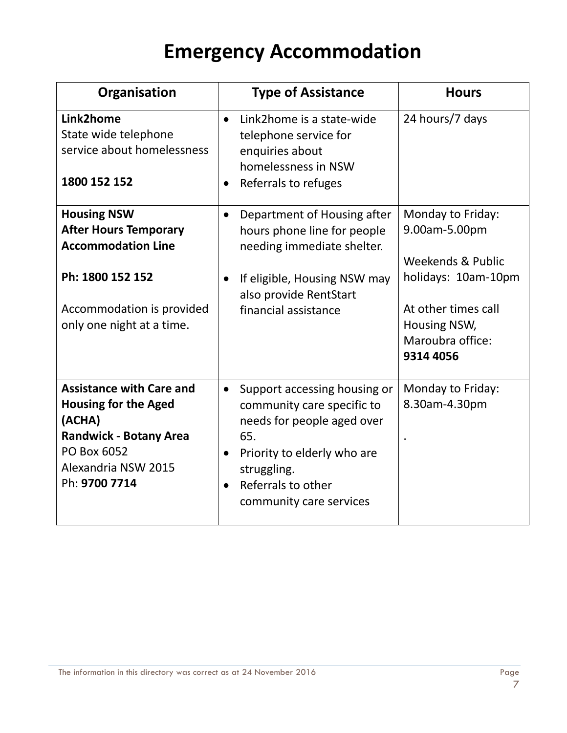#### **Emergency Accommodation**

| Organisation                                                                                                                                                     | <b>Type of Assistance</b>                                                                                                                                                                                   | <b>Hours</b>                                                                                                                                           |
|------------------------------------------------------------------------------------------------------------------------------------------------------------------|-------------------------------------------------------------------------------------------------------------------------------------------------------------------------------------------------------------|--------------------------------------------------------------------------------------------------------------------------------------------------------|
| Link2home<br>State wide telephone<br>service about homelessness<br>1800 152 152                                                                                  | Link2home is a state-wide<br>$\bullet$<br>telephone service for<br>enquiries about<br>homelessness in NSW<br>Referrals to refuges                                                                           | 24 hours/7 days                                                                                                                                        |
| <b>Housing NSW</b><br><b>After Hours Temporary</b><br><b>Accommodation Line</b><br>Ph: 1800 152 152<br>Accommodation is provided<br>only one night at a time.    | Department of Housing after<br>$\bullet$<br>hours phone line for people<br>needing immediate shelter.<br>If eligible, Housing NSW may<br>also provide RentStart<br>financial assistance                     | Monday to Friday:<br>9.00am-5.00pm<br>Weekends & Public<br>holidays: 10am-10pm<br>At other times call<br>Housing NSW,<br>Maroubra office:<br>9314 4056 |
| <b>Assistance with Care and</b><br><b>Housing for the Aged</b><br>(ACHA)<br><b>Randwick - Botany Area</b><br>PO Box 6052<br>Alexandria NSW 2015<br>Ph: 9700 7714 | Support accessing housing or<br>$\bullet$<br>community care specific to<br>needs for people aged over<br>65.<br>Priority to elderly who are<br>struggling.<br>Referrals to other<br>community care services | Monday to Friday:<br>8.30am-4.30pm                                                                                                                     |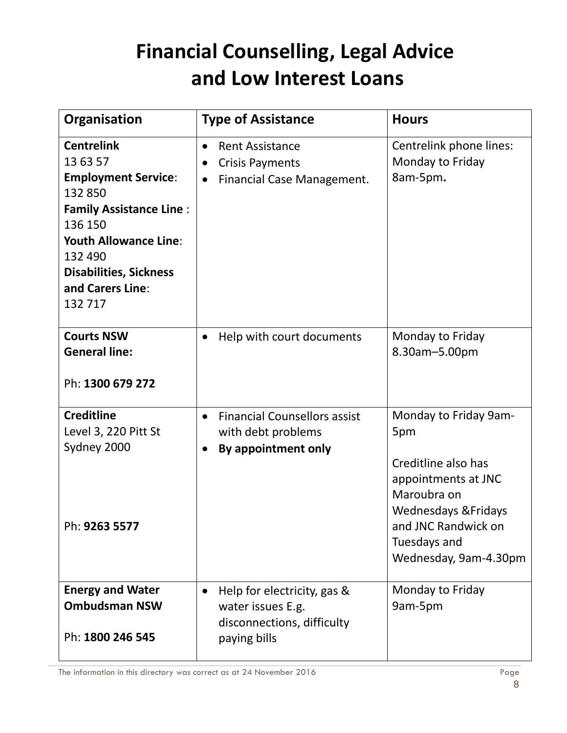#### **Financial Counselling, Legal Advice and Low Interest Loans**

| Organisation                                                                                                                                                                                                                   | <b>Type of Assistance</b>                                                                                | <b>Hours</b>                                                                                                                                                                                 |
|--------------------------------------------------------------------------------------------------------------------------------------------------------------------------------------------------------------------------------|----------------------------------------------------------------------------------------------------------|----------------------------------------------------------------------------------------------------------------------------------------------------------------------------------------------|
| <b>Centrelink</b><br>13 63 57<br><b>Employment Service:</b><br>132 850<br><b>Family Assistance Line:</b><br>136 150<br><b>Youth Allowance Line:</b><br>132 490<br><b>Disabilities, Sickness</b><br>and Carers Line:<br>132 717 | <b>Rent Assistance</b><br>$\bullet$<br><b>Crisis Payments</b><br>Financial Case Management.<br>$\bullet$ | Centrelink phone lines:<br>Monday to Friday<br>8am-5pm.                                                                                                                                      |
| <b>Courts NSW</b><br><b>General line:</b><br>Ph: 1300 679 272                                                                                                                                                                  | Help with court documents                                                                                | Monday to Friday<br>8.30am-5.00pm                                                                                                                                                            |
| <b>Creditline</b><br>Level 3, 220 Pitt St<br>Sydney 2000<br>Ph: <b>9263 5577</b>                                                                                                                                               | <b>Financial Counsellors assist</b><br>$\bullet$<br>with debt problems<br>By appointment only            | Monday to Friday 9am-<br>5pm<br>Creditline also has<br>appointments at JNC<br>Maroubra on<br><b>Wednesdays &amp; Fridays</b><br>and JNC Randwick on<br>Tuesdays and<br>Wednesday, 9am-4.30pm |
| <b>Energy and Water</b><br><b>Ombudsman NSW</b><br>Ph: 1800 246 545                                                                                                                                                            | Help for electricity, gas &<br>water issues E.g.<br>disconnections, difficulty<br>paying bills           | Monday to Friday<br>9am-5pm                                                                                                                                                                  |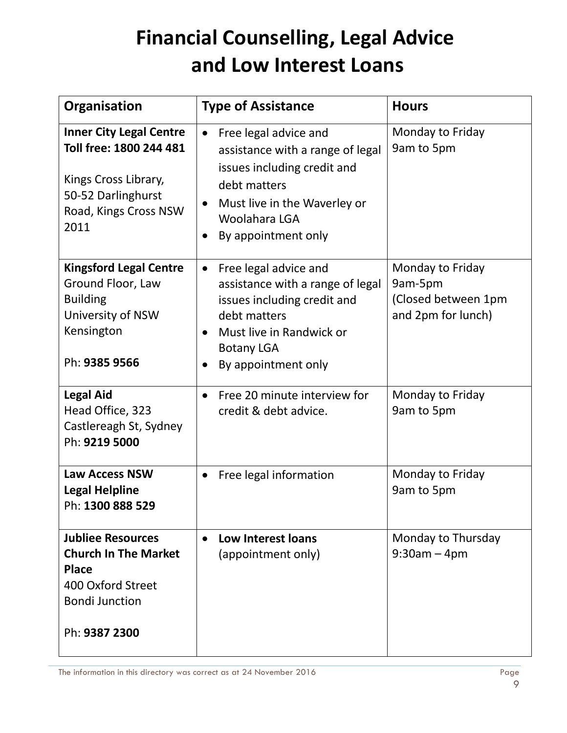### **Financial Counselling, Legal Advice and Low Interest Loans**

| Organisation                                                                                                                             | <b>Type of Assistance</b>                                                                                                                                                                                  | <b>Hours</b>                                                             |
|------------------------------------------------------------------------------------------------------------------------------------------|------------------------------------------------------------------------------------------------------------------------------------------------------------------------------------------------------------|--------------------------------------------------------------------------|
| <b>Inner City Legal Centre</b><br>Toll free: 1800 244 481<br>Kings Cross Library,<br>50-52 Darlinghurst<br>Road, Kings Cross NSW<br>2011 | Free legal advice and<br>$\bullet$<br>assistance with a range of legal<br>issues including credit and<br>debt matters<br>Must live in the Waverley or<br>$\bullet$<br>Woolahara LGA<br>By appointment only | Monday to Friday<br>9am to 5pm                                           |
| <b>Kingsford Legal Centre</b><br>Ground Floor, Law<br><b>Building</b><br>University of NSW<br>Kensington<br>Ph: 9385 9566                | Free legal advice and<br>$\bullet$<br>assistance with a range of legal<br>issues including credit and<br>debt matters<br>Must live in Randwick or<br><b>Botany LGA</b><br>By appointment only              | Monday to Friday<br>9am-5pm<br>(Closed between 1pm<br>and 2pm for lunch) |
| <b>Legal Aid</b><br>Head Office, 323<br>Castlereagh St, Sydney<br>Ph: 9219 5000                                                          | Free 20 minute interview for<br>$\bullet$<br>credit & debt advice.                                                                                                                                         | Monday to Friday<br>9am to 5pm                                           |
| <b>Law Access NSW</b><br><b>Legal Helpline</b><br>Ph: 1300 888 529                                                                       | Free legal information                                                                                                                                                                                     | Monday to Friday<br>9am to 5pm                                           |
| <b>Jubliee Resources</b><br><b>Church In The Market</b><br><b>Place</b><br>400 Oxford Street<br><b>Bondi Junction</b><br>Ph: 9387 2300   | Low Interest loans<br>$\bullet$<br>(appointment only)                                                                                                                                                      | Monday to Thursday<br>$9:30am - 4pm$                                     |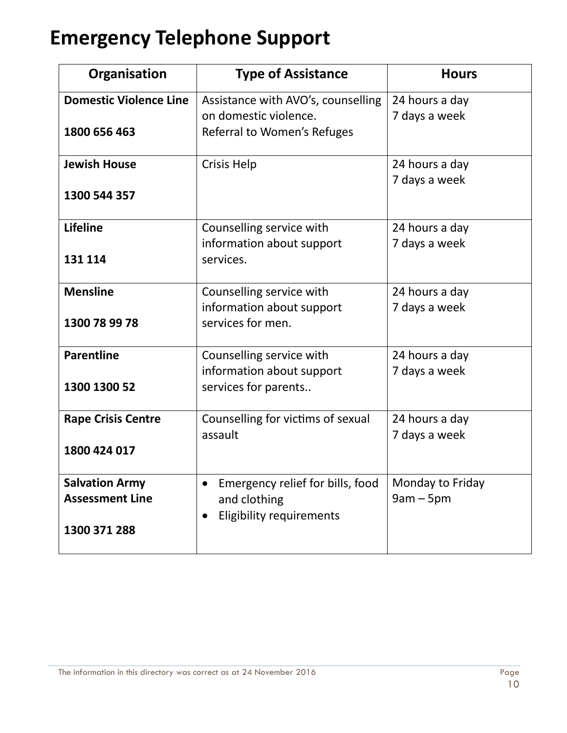#### **Emergency Telephone Support**

| Organisation                                                    | <b>Type of Assistance</b>                                                                  | <b>Hours</b>                    |
|-----------------------------------------------------------------|--------------------------------------------------------------------------------------------|---------------------------------|
| <b>Domestic Violence Line</b><br>1800 656 463                   | Assistance with AVO's, counselling<br>on domestic violence.<br>Referral to Women's Refuges | 24 hours a day<br>7 days a week |
| <b>Jewish House</b><br>1300 544 357                             | <b>Crisis Help</b>                                                                         | 24 hours a day<br>7 days a week |
| <b>Lifeline</b><br>131 114                                      | Counselling service with<br>information about support<br>services.                         | 24 hours a day<br>7 days a week |
| <b>Mensline</b><br>1300 78 99 78                                | Counselling service with<br>information about support<br>services for men.                 | 24 hours a day<br>7 days a week |
| <b>Parentline</b><br>1300 1300 52                               | Counselling service with<br>information about support<br>services for parents              | 24 hours a day<br>7 days a week |
| <b>Rape Crisis Centre</b><br>1800 424 017                       | Counselling for victims of sexual<br>assault                                               | 24 hours a day<br>7 days a week |
| <b>Salvation Army</b><br><b>Assessment Line</b><br>1300 371 288 | Emergency relief for bills, food<br>and clothing<br><b>Eligibility requirements</b>        | Monday to Friday<br>$9am - 5pm$ |